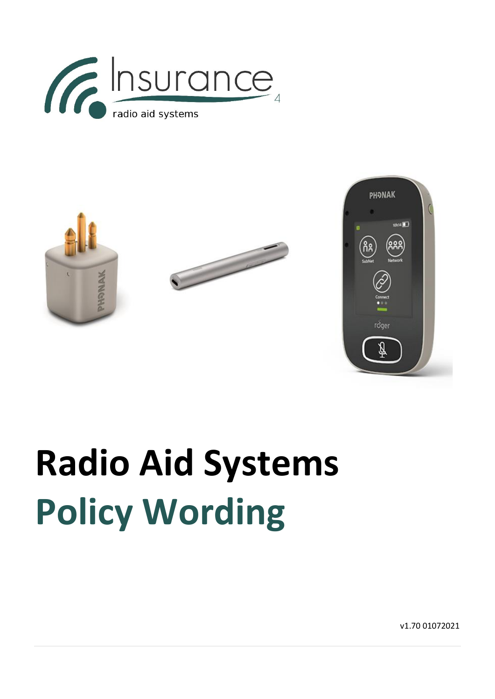





# **Radio Aid Systems Policy Wording**

v1.70 01072021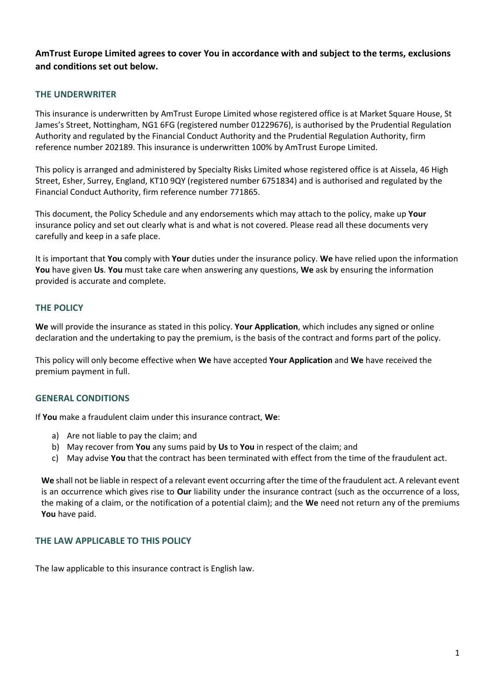**AmTrust Europe Limited agrees to cover You in accordance with and subject to the terms, exclusions and conditions set out below.**

# **THE UNDERWRITER**

This insurance is underwritten by AmTrust Europe Limited whose registered office is at Market Square House, St James's Street, Nottingham, NG1 6FG (registered number 01229676), is authorised by the Prudential Regulation Authority and regulated by the Financial Conduct Authority and the Prudential Regulation Authority, firm reference number 202189. This insurance is underwritten 100% by AmTrust Europe Limited.

This policy is arranged and administered by Specialty Risks Limited whose registered office is at Aissela, 46 High Street, Esher, Surrey, England, KT10 9QY (registered number 6751834) and is authorised and regulated by the Financial Conduct Authority, firm reference number 771865.

This document, the Policy Schedule and any endorsements which may attach to the policy, make up **Your** insurance policy and set out clearly what is and what is not covered. Please read all these documents very carefully and keep in a safe place.

It is important that **You** comply with **Your** duties under the insurance policy. **We** have relied upon the information **You** have given **Us**. **You** must take care when answering any questions, **We** ask by ensuring the information provided is accurate and complete.

# **THE POLICY**

**We** will provide the insurance as stated in this policy. **Your Application**, which includes any signed or online declaration and the undertaking to pay the premium, is the basis of the contract and forms part of the policy.

This policy will only become effective when **We** have accepted **Your Application** and **We** have received the premium payment in full.

# **GENERAL CONDITIONS**

If **You** make a fraudulent claim under this insurance contract, **We**:

- a) Are not liable to pay the claim; and
- b) May recover from **You** any sums paid by **Us** to **You** in respect of the claim; and
- c) May advise **You** that the contract has been terminated with effect from the time of the fraudulent act.

**We** shall not be liable in respect of a relevant event occurring after the time of the fraudulent act. A relevant event is an occurrence which gives rise to **Our** liability under the insurance contract (such as the occurrence of a loss, the making of a claim, or the notification of a potential claim); and the **We** need not return any of the premiums **You** have paid.

#### **THE LAW APPLICABLE TO THIS POLICY**

The law applicable to this insurance contract is English law.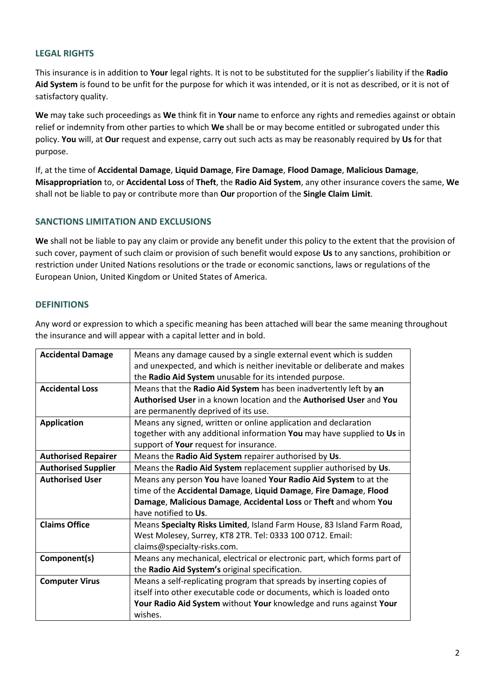# **LEGAL RIGHTS**

This insurance is in addition to **Your** legal rights. It is not to be substituted for the supplier's liability if the **Radio Aid System** is found to be unfit for the purpose for which it was intended, or it is not as described, or it is not of satisfactory quality.

**We** may take such proceedings as **We** think fit in **Your** name to enforce any rights and remedies against or obtain relief or indemnity from other parties to which **We** shall be or may become entitled or subrogated under this policy. **You** will, at **Our** request and expense, carry out such acts as may be reasonably required by **Us** for that purpose.

If, at the time of **Accidental Damage**, **Liquid Damage**, **Fire Damage**, **Flood Damage**, **Malicious Damage**, **Misappropriation** to, or **Accidental Loss** of **Theft**, the **Radio Aid System**, any other insurance covers the same, **We** shall not be liable to pay or contribute more than **Our** proportion of the **Single Claim Limit**.

# **SANCTIONS LIMITATION AND EXCLUSIONS**

**We** shall not be liable to pay any claim or provide any benefit under this policy to the extent that the provision of such cover, payment of such claim or provision of such benefit would expose **Us** to any sanctions, prohibition or restriction under United Nations resolutions or the trade or economic sanctions, laws or regulations of the European Union, United Kingdom or United States of America.

# **DEFINITIONS**

Any word or expression to which a specific meaning has been attached will bear the same meaning throughout the insurance and will appear with a capital letter and in bold.

| Means any damage caused by a single external event which is sudden       |
|--------------------------------------------------------------------------|
| and unexpected, and which is neither inevitable or deliberate and makes  |
| the Radio Aid System unusable for its intended purpose.                  |
| Means that the Radio Aid System has been inadvertently left by an        |
| Authorised User in a known location and the Authorised User and You      |
| are permanently deprived of its use.                                     |
| Means any signed, written or online application and declaration          |
| together with any additional information You may have supplied to Us in  |
| support of Your request for insurance.                                   |
| Means the Radio Aid System repairer authorised by Us.                    |
| Means the Radio Aid System replacement supplier authorised by Us.        |
| Means any person You have loaned Your Radio Aid System to at the         |
| time of the Accidental Damage, Liquid Damage, Fire Damage, Flood         |
| Damage, Malicious Damage, Accidental Loss or Theft and whom You          |
| have notified to Us.                                                     |
| Means Specialty Risks Limited, Island Farm House, 83 Island Farm Road,   |
| West Molesey, Surrey, KT8 2TR. Tel: 0333 100 0712. Email:                |
| claims@specialty-risks.com.                                              |
| Means any mechanical, electrical or electronic part, which forms part of |
| the Radio Aid System's original specification.                           |
| Means a self-replicating program that spreads by inserting copies of     |
| itself into other executable code or documents, which is loaded onto     |
| Your Radio Aid System without Your knowledge and runs against Your       |
| wishes.                                                                  |
|                                                                          |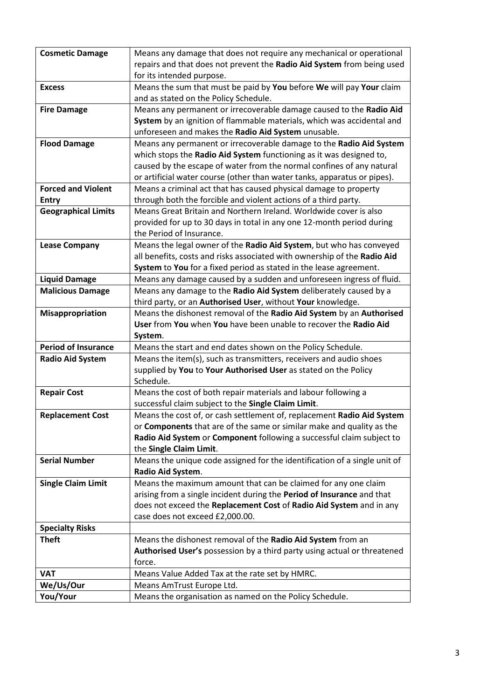| <b>Cosmetic Damage</b>     | Means any damage that does not require any mechanical or operational      |
|----------------------------|---------------------------------------------------------------------------|
|                            | repairs and that does not prevent the Radio Aid System from being used    |
|                            | for its intended purpose.                                                 |
| <b>Excess</b>              | Means the sum that must be paid by You before We will pay Your claim      |
|                            | and as stated on the Policy Schedule.                                     |
| <b>Fire Damage</b>         | Means any permanent or irrecoverable damage caused to the Radio Aid       |
|                            | System by an ignition of flammable materials, which was accidental and    |
|                            | unforeseen and makes the Radio Aid System unusable.                       |
| <b>Flood Damage</b>        | Means any permanent or irrecoverable damage to the Radio Aid System       |
|                            | which stops the Radio Aid System functioning as it was designed to,       |
|                            | caused by the escape of water from the normal confines of any natural     |
|                            | or artificial water course (other than water tanks, apparatus or pipes).  |
| <b>Forced and Violent</b>  | Means a criminal act that has caused physical damage to property          |
| <b>Entry</b>               | through both the forcible and violent actions of a third party.           |
| <b>Geographical Limits</b> | Means Great Britain and Northern Ireland. Worldwide cover is also         |
|                            | provided for up to 30 days in total in any one 12-month period during     |
|                            | the Period of Insurance.                                                  |
| <b>Lease Company</b>       | Means the legal owner of the Radio Aid System, but who has conveyed       |
|                            | all benefits, costs and risks associated with ownership of the Radio Aid  |
|                            | System to You for a fixed period as stated in the lease agreement.        |
| <b>Liquid Damage</b>       | Means any damage caused by a sudden and unforeseen ingress of fluid.      |
| <b>Malicious Damage</b>    | Means any damage to the Radio Aid System deliberately caused by a         |
|                            | third party, or an Authorised User, without Your knowledge.               |
| Misappropriation           | Means the dishonest removal of the Radio Aid System by an Authorised      |
|                            |                                                                           |
|                            | User from You when You have been unable to recover the Radio Aid          |
|                            | System.                                                                   |
| <b>Period of Insurance</b> | Means the start and end dates shown on the Policy Schedule.               |
|                            | Means the item(s), such as transmitters, receivers and audio shoes        |
| <b>Radio Aid System</b>    | supplied by You to Your Authorised User as stated on the Policy           |
|                            | Schedule.                                                                 |
| <b>Repair Cost</b>         | Means the cost of both repair materials and labour following a            |
|                            | successful claim subject to the Single Claim Limit.                       |
| <b>Replacement Cost</b>    | Means the cost of, or cash settlement of, replacement Radio Aid System    |
|                            | or Components that are of the same or similar make and quality as the     |
|                            | Radio Aid System or Component following a successful claim subject to     |
|                            | the Single Claim Limit.                                                   |
| <b>Serial Number</b>       | Means the unique code assigned for the identification of a single unit of |
|                            | Radio Aid System.                                                         |
| <b>Single Claim Limit</b>  | Means the maximum amount that can be claimed for any one claim            |
|                            | arising from a single incident during the Period of Insurance and that    |
|                            | does not exceed the Replacement Cost of Radio Aid System and in any       |
|                            | case does not exceed £2,000.00.                                           |
| <b>Specialty Risks</b>     |                                                                           |
| <b>Theft</b>               | Means the dishonest removal of the Radio Aid System from an               |
|                            | Authorised User's possession by a third party using actual or threatened  |
|                            | force.                                                                    |
| <b>VAT</b>                 | Means Value Added Tax at the rate set by HMRC.                            |
| We/Us/Our                  | Means AmTrust Europe Ltd.                                                 |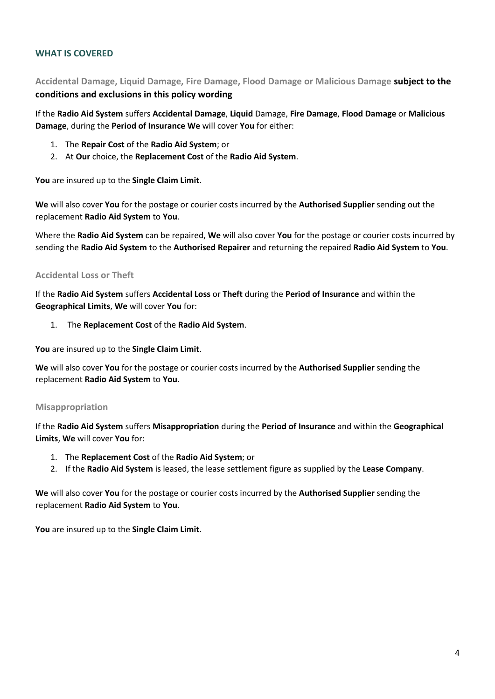# **WHAT IS COVERED**

**Accidental Damage, Liquid Damage, Fire Damage, Flood Damage or Malicious Damage subject to the conditions and exclusions in this policy wording**

If the **Radio Aid System** suffers **Accidental Damage**, **Liquid** Damage, **Fire Damage**, **Flood Damage** or **Malicious Damage**, during the **Period of Insurance We** will cover **You** for either:

- 1. The **Repair Cost** of the **Radio Aid System**; or
- 2. At **Our** choice, the **Replacement Cost** of the **Radio Aid System**.

**You** are insured up to the **Single Claim Limit**.

**We** will also cover **You** for the postage or courier costs incurred by the **Authorised Supplier** sending out the replacement **Radio Aid System** to **You**.

Where the **Radio Aid System** can be repaired, **We** will also cover **You** for the postage or courier costs incurred by sending the **Radio Aid System** to the **Authorised Repairer** and returning the repaired **Radio Aid System** to **You**.

#### **Accidental Loss or Theft**

If the **Radio Aid System** suffers **Accidental Loss** or **Theft** during the **Period of Insurance** and within the **Geographical Limits**, **We** will cover **You** for:

1. The **Replacement Cost** of the **Radio Aid System**.

**You** are insured up to the **Single Claim Limit**.

**We** will also cover **You** for the postage or courier costs incurred by the **Authorised Supplier** sending the replacement **Radio Aid System** to **You**.

#### **Misappropriation**

If the **Radio Aid System** suffers **Misappropriation** during the **Period of Insurance** and within the **Geographical Limits**, **We** will cover **You** for:

- 1. The **Replacement Cost** of the **Radio Aid System**; or
- 2. If the **Radio Aid System** is leased, the lease settlement figure as supplied by the **Lease Company**.

**We** will also cover **You** for the postage or courier costs incurred by the **Authorised Supplier** sending the replacement **Radio Aid System** to **You**.

**You** are insured up to the **Single Claim Limit**.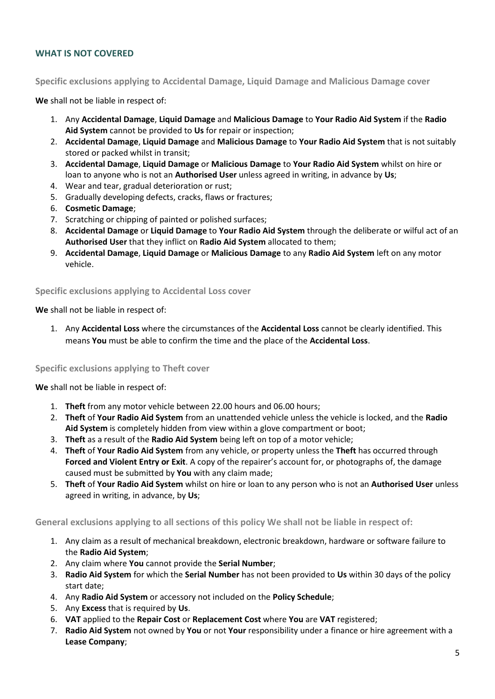# **WHAT IS NOT COVERED**

**Specific exclusions applying to Accidental Damage, Liquid Damage and Malicious Damage cover**

**We** shall not be liable in respect of:

- 1. Any **Accidental Damage**, **Liquid Damage** and **Malicious Damage** to **Your Radio Aid System** if the **Radio Aid System** cannot be provided to **Us** for repair or inspection;
- 2. **Accidental Damage**, **Liquid Damage** and **Malicious Damage** to **Your Radio Aid System** that is not suitably stored or packed whilst in transit;
- 3. **Accidental Damage**, **Liquid Damage** or **Malicious Damage** to **Your Radio Aid System** whilst on hire or loan to anyone who is not an **Authorised User** unless agreed in writing, in advance by **Us**;
- 4. Wear and tear, gradual deterioration or rust;
- 5. Gradually developing defects, cracks, flaws or fractures;
- 6. **Cosmetic Damage**;
- 7. Scratching or chipping of painted or polished surfaces;
- 8. **Accidental Damage** or **Liquid Damage** to **Your Radio Aid System** through the deliberate or wilful act of an **Authorised User** that they inflict on **Radio Aid System** allocated to them;
- 9. **Accidental Damage**, **Liquid Damage** or **Malicious Damage** to any **Radio Aid System** left on any motor vehicle.

**Specific exclusions applying to Accidental Loss cover**

#### **We** shall not be liable in respect of:

1. Any **Accidental Loss** where the circumstances of the **Accidental Loss** cannot be clearly identified. This means **You** must be able to confirm the time and the place of the **Accidental Loss**.

#### **Specific exclusions applying to Theft cover**

**We** shall not be liable in respect of:

- 1. **Theft** from any motor vehicle between 22.00 hours and 06.00 hours;
- 2. **Theft** of **Your Radio Aid System** from an unattended vehicle unless the vehicle is locked, and the **Radio Aid System** is completely hidden from view within a glove compartment or boot;
- 3. **Theft** as a result of the **Radio Aid System** being left on top of a motor vehicle;
- 4. **Theft** of **Your Radio Aid System** from any vehicle, or property unless the **Theft** has occurred through **Forced and Violent Entry or Exit**. A copy of the repairer's account for, or photographs of, the damage caused must be submitted by **You** with any claim made;
- 5. **Theft** of **Your Radio Aid System** whilst on hire or loan to any person who is not an **Authorised User** unless agreed in writing, in advance, by **Us**;

**General exclusions applying to all sections of this policy We shall not be liable in respect of:**

- 1. Any claim as a result of mechanical breakdown, electronic breakdown, hardware or software failure to the **Radio Aid System**;
- 2. Any claim where **You** cannot provide the **Serial Number**;
- 3. **Radio Aid System** for which the **Serial Number** has not been provided to **Us** within 30 days of the policy start date;
- 4. Any **Radio Aid System** or accessory not included on the **Policy Schedule**;
- 5. Any **Excess** that is required by **Us**.
- 6. **VAT** applied to the **Repair Cost** or **Replacement Cost** where **You** are **VAT** registered;
- 7. **Radio Aid System** not owned by **You** or not **Your** responsibility under a finance or hire agreement with a **Lease Company**;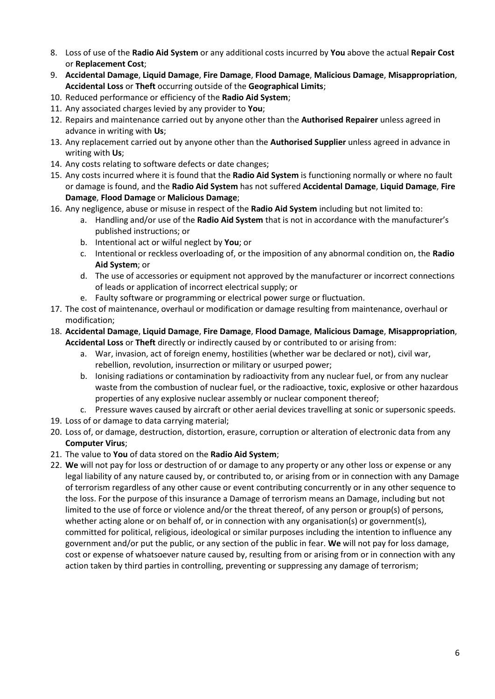- 8. Loss of use of the **Radio Aid System** or any additional costs incurred by **You** above the actual **Repair Cost** or **Replacement Cost**;
- 9. **Accidental Damage**, **Liquid Damage**, **Fire Damage**, **Flood Damage**, **Malicious Damage**, **Misappropriation**, **Accidental Loss** or **Theft** occurring outside of the **Geographical Limits**;
- 10. Reduced performance or efficiency of the **Radio Aid System**;
- 11. Any associated charges levied by any provider to **You**;
- 12. Repairs and maintenance carried out by anyone other than the **Authorised Repairer** unless agreed in advance in writing with **Us**;
- 13. Any replacement carried out by anyone other than the **Authorised Supplier** unless agreed in advance in writing with **Us**;
- 14. Any costs relating to software defects or date changes;
- 15. Any costs incurred where it is found that the **Radio Aid System** is functioning normally or where no fault or damage is found, and the **Radio Aid System** has not suffered **Accidental Damage**, **Liquid Damage**, **Fire Damage**, **Flood Damage** or **Malicious Damage**;
- 16. Any negligence, abuse or misuse in respect of the **Radio Aid System** including but not limited to:
	- a. Handling and/or use of the **Radio Aid System** that is not in accordance with the manufacturer's published instructions; or
	- b. Intentional act or wilful neglect by **You**; or
	- c. Intentional or reckless overloading of, or the imposition of any abnormal condition on, the **Radio Aid System**; or
	- d. The use of accessories or equipment not approved by the manufacturer or incorrect connections of leads or application of incorrect electrical supply; or
	- e. Faulty software or programming or electrical power surge or fluctuation.
- 17. The cost of maintenance, overhaul or modification or damage resulting from maintenance, overhaul or modification;
- 18. **Accidental Damage**, **Liquid Damage**, **Fire Damage**, **Flood Damage**, **Malicious Damage**, **Misappropriation**, **Accidental Loss** or **Theft** directly or indirectly caused by or contributed to or arising from:
	- a. War, invasion, act of foreign enemy, hostilities (whether war be declared or not), civil war, rebellion, revolution, insurrection or military or usurped power;
	- b. Ionising radiations or contamination by radioactivity from any nuclear fuel, or from any nuclear waste from the combustion of nuclear fuel, or the radioactive, toxic, explosive or other hazardous properties of any explosive nuclear assembly or nuclear component thereof;
	- c. Pressure waves caused by aircraft or other aerial devices travelling at sonic or supersonic speeds.
- 19. Loss of or damage to data carrying material;
- 20. Loss of, or damage, destruction, distortion, erasure, corruption or alteration of electronic data from any **Computer Virus**;
- 21. The value to **You** of data stored on the **Radio Aid System**;
- 22. **We** will not pay for loss or destruction of or damage to any property or any other loss or expense or any legal liability of any nature caused by, or contributed to, or arising from or in connection with any Damage of terrorism regardless of any other cause or event contributing concurrently or in any other sequence to the loss. For the purpose of this insurance a Damage of terrorism means an Damage, including but not limited to the use of force or violence and/or the threat thereof, of any person or group(s) of persons, whether acting alone or on behalf of, or in connection with any organisation(s) or government(s), committed for political, religious, ideological or similar purposes including the intention to influence any government and/or put the public, or any section of the public in fear. **We** will not pay for loss damage, cost or expense of whatsoever nature caused by, resulting from or arising from or in connection with any action taken by third parties in controlling, preventing or suppressing any damage of terrorism;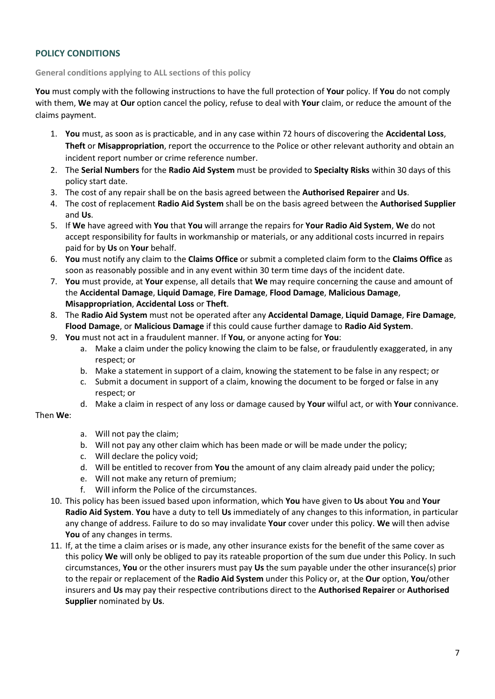# **POLICY CONDITIONS**

#### **General conditions applying to ALL sections of this policy**

**You** must comply with the following instructions to have the full protection of **Your** policy. If **You** do not comply with them, **We** may at **Our** option cancel the policy, refuse to deal with **Your** claim, or reduce the amount of the claims payment.

- 1. **You** must, as soon as is practicable, and in any case within 72 hours of discovering the **Accidental Loss**, **Theft** or **Misappropriation**, report the occurrence to the Police or other relevant authority and obtain an incident report number or crime reference number.
- 2. The **Serial Numbers** for the **Radio Aid System** must be provided to **Specialty Risks** within 30 days of this policy start date.
- 3. The cost of any repair shall be on the basis agreed between the **Authorised Repairer** and **Us**.
- 4. The cost of replacement **Radio Aid System** shall be on the basis agreed between the **Authorised Supplier** and **Us**.
- 5. If **We** have agreed with **You** that **You** will arrange the repairs for **Your Radio Aid System**, **We** do not accept responsibility for faults in workmanship or materials, or any additional costs incurred in repairs paid for by **Us** on **Your** behalf.
- 6. **You** must notify any claim to the **Claims Office** or submit a completed claim form to the **Claims Office** as soon as reasonably possible and in any event within 30 term time days of the incident date.
- 7. **You** must provide, at **Your** expense, all details that **We** may require concerning the cause and amount of the **Accidental Damage**, **Liquid Damage**, **Fire Damage**, **Flood Damage**, **Malicious Damage**, **Misappropriation**, **Accidental Loss** or **Theft**.
- 8. The **Radio Aid System** must not be operated after any **Accidental Damage**, **Liquid Damage**, **Fire Damage**, **Flood Damage**, or **Malicious Damage** if this could cause further damage to **Radio Aid System**.
- 9. **You** must not act in a fraudulent manner. If **You**, or anyone acting for **You**:
	- a. Make a claim under the policy knowing the claim to be false, or fraudulently exaggerated, in any respect; or
	- b. Make a statement in support of a claim, knowing the statement to be false in any respect; or
	- c. Submit a document in support of a claim, knowing the document to be forged or false in any respect; or
	- d. Make a claim in respect of any loss or damage caused by **Your** wilful act, or with **Your** connivance.

# Then **We**:

- a. Will not pay the claim;
- b. Will not pay any other claim which has been made or will be made under the policy;
- c. Will declare the policy void;
- d. Will be entitled to recover from **You** the amount of any claim already paid under the policy;
- e. Will not make any return of premium;
- f. Will inform the Police of the circumstances.
- 10. This policy has been issued based upon information, which **You** have given to **Us** about **You** and **Your Radio Aid System**. **You** have a duty to tell **Us** immediately of any changes to this information, in particular any change of address. Failure to do so may invalidate **Your** cover under this policy. **We** will then advise **You** of any changes in terms.
- 11. If, at the time a claim arises or is made, any other insurance exists for the benefit of the same cover as this policy **We** will only be obliged to pay its rateable proportion of the sum due under this Policy. In such circumstances, **You** or the other insurers must pay **Us** the sum payable under the other insurance(s) prior to the repair or replacement of the **Radio Aid System** under this Policy or, at the **Our** option, **You**/other insurers and **Us** may pay their respective contributions direct to the **Authorised Repairer** or **Authorised Supplier** nominated by **Us**.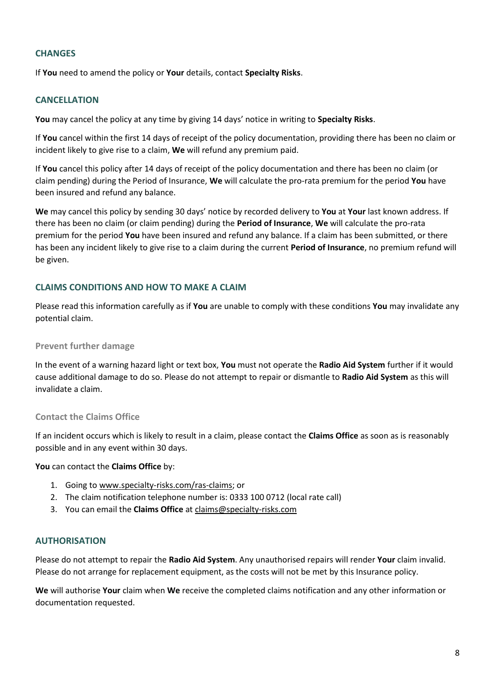#### **CHANGES**

If **You** need to amend the policy or **Your** details, contact **Specialty Risks**.

#### **CANCELLATION**

**You** may cancel the policy at any time by giving 14 days' notice in writing to **Specialty Risks**.

If **You** cancel within the first 14 days of receipt of the policy documentation, providing there has been no claim or incident likely to give rise to a claim, **We** will refund any premium paid.

If **You** cancel this policy after 14 days of receipt of the policy documentation and there has been no claim (or claim pending) during the Period of Insurance, **We** will calculate the pro-rata premium for the period **You** have been insured and refund any balance.

**We** may cancel this policy by sending 30 days' notice by recorded delivery to **You** at **Your** last known address. If there has been no claim (or claim pending) during the **Period of Insurance**, **We** will calculate the pro-rata premium for the period **You** have been insured and refund any balance. If a claim has been submitted, or there has been any incident likely to give rise to a claim during the current **Period of Insurance**, no premium refund will be given.

# **CLAIMS CONDITIONS AND HOW TO MAKE A CLAIM**

Please read this information carefully as if **You** are unable to comply with these conditions **You** may invalidate any potential claim.

#### **Prevent further damage**

In the event of a warning hazard light or text box, **You** must not operate the **Radio Aid System** further if it would cause additional damage to do so. Please do not attempt to repair or dismantle to **Radio Aid System** as this will invalidate a claim.

# **Contact the Claims Office**

If an incident occurs which is likely to result in a claim, please contact the **Claims Office** as soon as is reasonably possible and in any event within 30 days.

**You** can contact the **Claims Office** by:

- 1. Going to [www.specialty-risks.com/ras-claims;](http://www.specialty-risks.com/ras-claims) or
- 2. The claim notification telephone number is: 0333 100 0712 (local rate call)
- 3. You can email the **Claims Office** at [claims@specialty-risks.com](mailto:claims@specialty-risks.com)

#### **AUTHORISATION**

Please do not attempt to repair the **Radio Aid System**. Any unauthorised repairs will render **Your** claim invalid. Please do not arrange for replacement equipment, as the costs will not be met by this Insurance policy.

**We** will authorise **Your** claim when **We** receive the completed claims notification and any other information or documentation requested.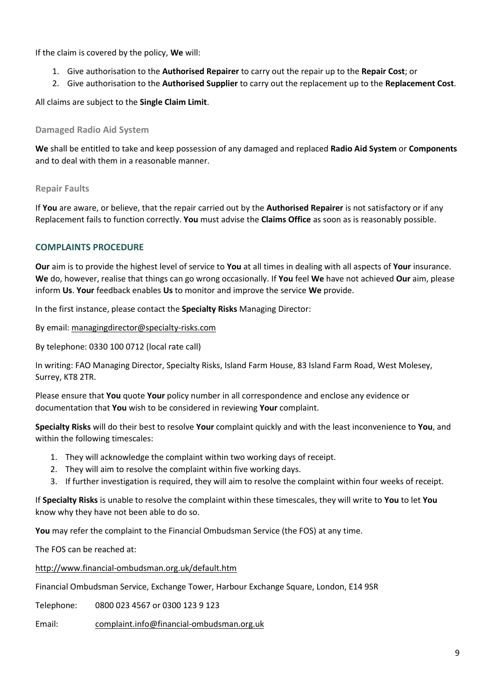If the claim is covered by the policy, **We** will:

- 1. Give authorisation to the **Authorised Repairer** to carry out the repair up to the **Repair Cost**; or
- 2. Give authorisation to the **Authorised Supplier** to carry out the replacement up to the **Replacement Cost**.

All claims are subject to the **Single Claim Limit**.

### **Damaged Radio Aid System**

**We** shall be entitled to take and keep possession of any damaged and replaced **Radio Aid System** or **Components** and to deal with them in a reasonable manner.

#### **Repair Faults**

If **You** are aware, or believe, that the repair carried out by the **Authorised Repairer** is not satisfactory or if any Replacement fails to function correctly. **You** must advise the **Claims Office** as soon as is reasonably possible.

# **COMPLAINTS PROCEDURE**

**Our** aim is to provide the highest level of service to **You** at all times in dealing with all aspects of **Your** insurance. **We** do, however, realise that things can go wrong occasionally. If **You** feel **We** have not achieved **Our** aim, please inform **Us**. **Your** feedback enables **Us** to monitor and improve the service **We** provide.

In the first instance, please contact the **Specialty Risks** Managing Director:

#### By email: [managingdirector@specialty-risks.com](mailto:managingdirector@specialty-risks.com)

By telephone: 0330 100 0712 (local rate call)

In writing: FAO Managing Director, Specialty Risks, Island Farm House, 83 Island Farm Road, West Molesey, Surrey, KT8 2TR.

Please ensure that **You** quote **Your** policy number in all correspondence and enclose any evidence or documentation that **You** wish to be considered in reviewing **Your** complaint.

**Specialty Risks** will do their best to resolve **Your** complaint quickly and with the least inconvenience to **You**, and within the following timescales:

- 1. They will acknowledge the complaint within two working days of receipt.
- 2. They will aim to resolve the complaint within five working days.
- 3. If further investigation is required, they will aim to resolve the complaint within four weeks of receipt.

If **Specialty Risks** is unable to resolve the complaint within these timescales, they will write to **You** to let **You** know why they have not been able to do so.

**You** may refer the complaint to the Financial Ombudsman Service (the FOS) at any time.

The FOS can be reached at:

<http://www.financial-ombudsman.org.uk/default.htm>

Financial Ombudsman Service, Exchange Tower, Harbour Exchange Square, London, E14 9SR

Telephone: 0800 023 4567 or 0300 123 9 123

Email: [complaint.info@financial-ombudsman.org.uk](mailto:complaint.info@financial-ombudsman.org.uk)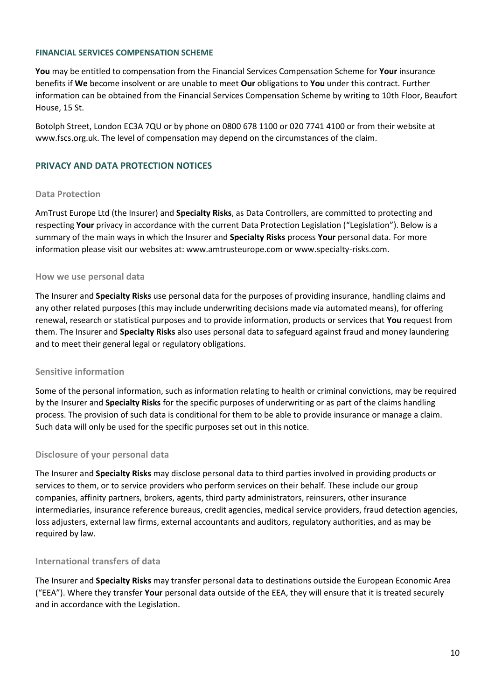#### **FINANCIAL SERVICES COMPENSATION SCHEME**

**You** may be entitled to compensation from the Financial Services Compensation Scheme for **Your** insurance benefits if **We** become insolvent or are unable to meet **Our** obligations to **You** under this contract. Further information can be obtained from the Financial Services Compensation Scheme by writing to 10th Floor, Beaufort House, 15 St.

Botolph Street, London EC3A 7QU or by phone on 0800 678 1100 or 020 7741 4100 or from their website at www.fscs.org.uk. The level of compensation may depend on the circumstances of the claim.

### **PRIVACY AND DATA PROTECTION NOTICES**

#### **Data Protection**

AmTrust Europe Ltd (the Insurer) and **Specialty Risks**, as Data Controllers, are committed to protecting and respecting **Your** privacy in accordance with the current Data Protection Legislation ("Legislation"). Below is a summary of the main ways in which the Insurer and **Specialty Risks** process **Your** personal data. For more information please visit our websites at: www.amtrusteurope.com or www.specialty-risks.com.

#### **How we use personal data**

The Insurer and **Specialty Risks** use personal data for the purposes of providing insurance, handling claims and any other related purposes (this may include underwriting decisions made via automated means), for offering renewal, research or statistical purposes and to provide information, products or services that **You** request from them. The Insurer and **Specialty Risks** also uses personal data to safeguard against fraud and money laundering and to meet their general legal or regulatory obligations.

#### **Sensitive information**

Some of the personal information, such as information relating to health or criminal convictions, may be required by the Insurer and **Specialty Risks** for the specific purposes of underwriting or as part of the claims handling process. The provision of such data is conditional for them to be able to provide insurance or manage a claim. Such data will only be used for the specific purposes set out in this notice.

#### **Disclosure of your personal data**

The Insurer and **Specialty Risks** may disclose personal data to third parties involved in providing products or services to them, or to service providers who perform services on their behalf. These include our group companies, affinity partners, brokers, agents, third party administrators, reinsurers, other insurance intermediaries, insurance reference bureaus, credit agencies, medical service providers, fraud detection agencies, loss adjusters, external law firms, external accountants and auditors, regulatory authorities, and as may be required by law.

#### **International transfers of data**

The Insurer and **Specialty Risks** may transfer personal data to destinations outside the European Economic Area ("EEA"). Where they transfer **Your** personal data outside of the EEA, they will ensure that it is treated securely and in accordance with the Legislation.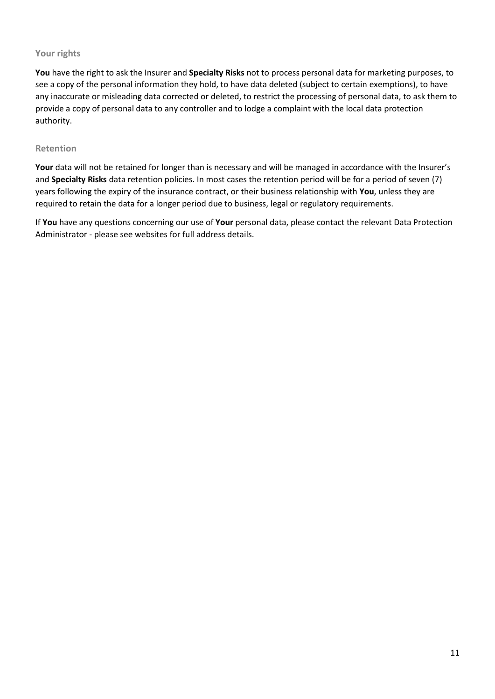# **Your rights**

**You** have the right to ask the Insurer and **Specialty Risks** not to process personal data for marketing purposes, to see a copy of the personal information they hold, to have data deleted (subject to certain exemptions), to have any inaccurate or misleading data corrected or deleted, to restrict the processing of personal data, to ask them to provide a copy of personal data to any controller and to lodge a complaint with the local data protection authority.

### **Retention**

Your data will not be retained for longer than is necessary and will be managed in accordance with the Insurer's and **Specialty Risks** data retention policies. In most cases the retention period will be for a period of seven (7) years following the expiry of the insurance contract, or their business relationship with **You**, unless they are required to retain the data for a longer period due to business, legal or regulatory requirements.

If **You** have any questions concerning our use of **Your** personal data, please contact the relevant Data Protection Administrator - please see websites for full address details.